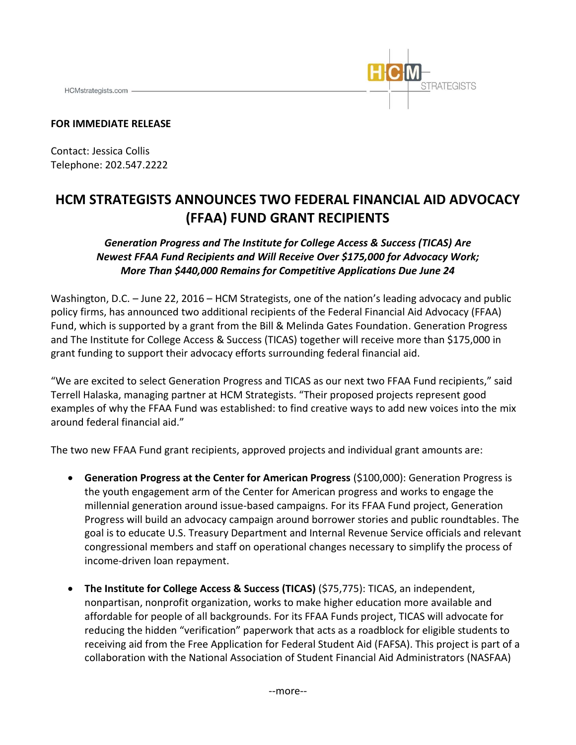HCMstrategists.com -



## **FOR IMMEDIATE RELEASE**

Contact: Jessica Collis Telephone: 202.547.2222

## **HCM STRATEGISTS ANNOUNCES TWO FEDERAL FINANCIAL AID ADVOCACY (FFAA) FUND GRANT RECIPIENTS**

*Generation Progress and The Institute for College Access & Success (TICAS) Are Newest FFAA Fund Recipients and Will Receive Over \$175,000 for Advocacy Work; More Than \$440,000 Remains for Competitive Applications Due June 24* 

Washington, D.C. – June 22, 2016 – HCM Strategists, one of the nation's leading advocacy and public policy firms, has announced two additional recipients of the Federal Financial Aid Advocacy (FFAA) Fund, which is supported by a grant from the Bill & Melinda Gates Foundation. Generation Progress and The Institute for College Access & Success (TICAS) together will receive more than \$175,000 in grant funding to support their advocacy efforts surrounding federal financial aid.

"We are excited to select Generation Progress and TICAS as our next two FFAA Fund recipients," said Terrell Halaska, managing partner at HCM Strategists. "Their proposed projects represent good examples of why the FFAA Fund was established: to find creative ways to add new voices into the mix around federal financial aid."

The two new FFAA Fund grant recipients, approved projects and individual grant amounts are:

- **Generation Progress at the Center for American Progress (\$100,000): Generation Progress is** the youth engagement arm of the Center for American progress and works to engage the millennial generation around issue-based campaigns. For its FFAA Fund project, Generation Progress will build an advocacy campaign around borrower stories and public roundtables. The goal is to educate U.S. Treasury Department and Internal Revenue Service officials and relevant congressional members and staff on operational changes necessary to simplify the process of income-driven loan repayment.
- **•** The Institute for College Access & Success (TICAS) (\$75,775): TICAS, an independent, nonpartisan, nonprofit organization, works to make higher education more available and affordable for people of all backgrounds. For its FFAA Funds project, TICAS will advocate for reducing the hidden "verification" paperwork that acts as a roadblock for eligible students to receiving aid from the Free Application for Federal Student Aid (FAFSA). This project is part of a collaboration with the National Association of Student Financial Aid Administrators (NASFAA)